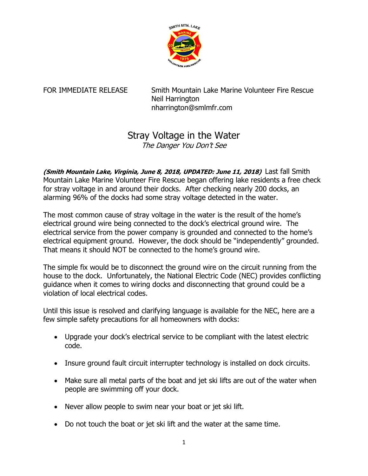

FOR IMMEDIATE RELEASE Smith Mountain Lake Marine Volunteer Fire Rescue Neil Harrington nharrington@smlmfr.com

## Stray Voltage in the Water

The Danger You Don't See

**(Smith Mountain Lake, Virginia, June 8, 2018, UPDATED: June 11, 2018)** Last fall Smith Mountain Lake Marine Volunteer Fire Rescue began offering lake residents a free check for stray voltage in and around their docks. After checking nearly 200 docks, an alarming 96% of the docks had some stray voltage detected in the water.

The most common cause of stray voltage in the water is the result of the home's electrical ground wire being connected to the dock's electrical ground wire. The electrical service from the power company is grounded and connected to the home's electrical equipment ground. However, the dock should be "independently" grounded. That means it should NOT be connected to the home's ground wire.

The simple fix would be to disconnect the ground wire on the circuit running from the house to the dock. Unfortunately, the National Electric Code (NEC) provides conflicting guidance when it comes to wiring docks and disconnecting that ground could be a violation of local electrical codes.

Until this issue is resolved and clarifying language is available for the NEC, here are a few simple safety precautions for all homeowners with docks:

- Upgrade your dock's electrical service to be compliant with the latest electric code.
- Insure ground fault circuit interrupter technology is installed on dock circuits.
- Make sure all metal parts of the boat and jet ski lifts are out of the water when people are swimming off your dock.
- Never allow people to swim near your boat or jet ski lift.
- Do not touch the boat or jet ski lift and the water at the same time.